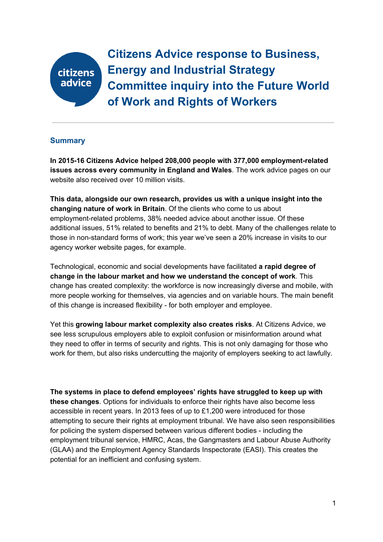# citizens advice

**Citizens Advice response to Business, Energy and Industrial Strategy Committee inquiry into the Future World of Work and Rights of Workers**

# **Summary**

**In 2015-16 Citizens Advice helped 208,000 people with 377,000 employment-related issues across every community in England and Wales**. The work advice pages on our website also received over 10 million visits.

**This data, alongside our own research, provides us with a unique insight into the changing nature of work in Britain**. Of the clients who come to us about employment-related problems, 38% needed advice about another issue. Of these additional issues, 51% related to benefits and 21% to debt. Many of the challenges relate to those in non-standard forms of work; this year we've seen a 20% increase in visits to our agency worker website pages, for example.

Technological, economic and social developments have facilitated **a rapid degree of change in the labour market and how we understand the concept of work**. This change has created complexity: the workforce is now increasingly diverse and mobile, with more people working for themselves, via agencies and on variable hours. The main benefit of this change is increased flexibility - for both employer and employee.

Yet this **growing labour market complexity also creates risks**. At Citizens Advice, we see less scrupulous employers able to exploit confusion or misinformation around what they need to offer in terms of security and rights. This is not only damaging for those who work for them, but also risks undercutting the majority of employers seeking to act lawfully.

**The systems in place to defend employees' rights have struggled to keep up with these changes**. Options for individuals to enforce their rights have also become less accessible in recent years. In 2013 fees of up to £1,200 were introduced for those attempting to secure their rights at employment tribunal. We have also seen responsibilities for policing the system dispersed between various different bodies - including the employment tribunal service, HMRC, Acas, the Gangmasters and Labour Abuse Authority (GLAA) and the Employment Agency Standards Inspectorate (EASI). This creates the potential for an inefficient and confusing system.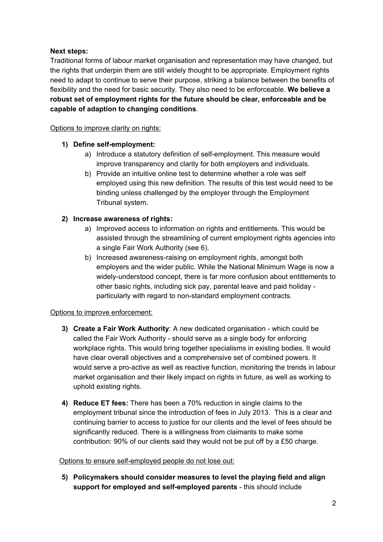# **Next steps:**

Traditional forms of labour market organisation and representation may have changed, but the rights that underpin them are still widely thought to be appropriate. Employment rights need to adapt to continue to serve their purpose, striking a balance between the benefits of flexibility and the need for basic security. They also need to be enforceable. **We believe a robust set of employment rights for the future should be clear, enforceable and be capable of adaption to changing conditions**.

# Options to improve clarity on rights:

# **1) Define self-employment:**

- a) Introduce a statutory definition of self-employment. This measure would improve transparency and clarity for both employers and individuals.
- b) Provide an intuitive online test to determine whether a role was self employed using this new definition. The results of this test would need to be binding unless challenged by the employer through the Employment Tribunal system.

# **2) Increase awareness of rights:**

- a) Improved access to information on rights and entitlements. This would be assisted through the streamlining of current employment rights agencies into a single Fair Work Authority (see 6).
- b) Increased awareness-raising on employment rights, amongst both employers and the wider public. While the National Minimum Wage is now a widely-understood concept, there is far more confusion about entitlements to other basic rights, including sick pay, parental leave and paid holiday particularly with regard to non-standard employment contracts.

# Options to improve enforcement:

- **3) Create a Fair Work Authority**: A new dedicated organisation which could be called the Fair Work Authority - should serve as a single body for enforcing workplace rights. This would bring together specialisms in existing bodies. It would have clear overall objectives and a comprehensive set of combined powers. It would serve a pro-active as well as reactive function, monitoring the trends in labour market organisation and their likely impact on rights in future, as well as working to uphold existing rights.
- **4) Reduce ET fees:** There has been a 70% reduction in single claims to the employment tribunal since the introduction of fees in July 2013. This is a clear and continuing barrier to access to justice for our clients and the level of fees should be significantly reduced. There is a willingness from claimants to make some contribution: 90% of our clients said they would not be put off by a £50 charge.

# Options to ensure self-employed people do not lose out:

**5) Policymakers should consider measures to level the playing field and align support for employed and self-employed parents** - this should include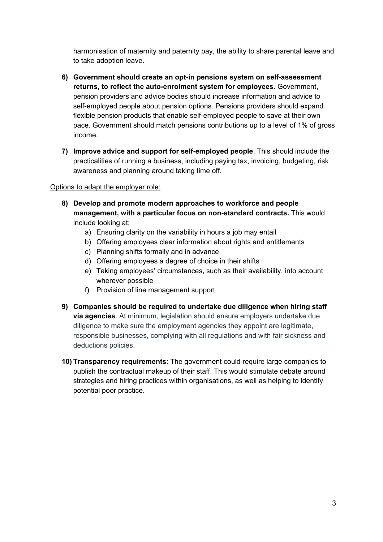harmonisation of maternity and paternity pay, the ability to share parental leave and to take adoption leave.

- **6) Government should create an opt-in pensions system on self-assessment returns, to reflect the auto-enrolment system for employees**. Government, pension providers and advice bodies should increase information and advice to self-employed people about pension options. Pensions providers should expand flexible pension products that enable self-employed people to save at their own pace. Government should match pensions contributions up to a level of 1% of gross income.
- **7) Improve advice and support for self-employed people**. This should include the practicalities of running a business, including paying tax, invoicing, budgeting, risk awareness and planning around taking time off.

#### Options to adapt the employer role:

- **8) Develop and promote modern approaches to workforce and people management, with a particular focus on non-standard contracts.** T his would include looking at:
	- a) Ensuring clarity on the variability in hours a job may entail
	- b) Offering employees clear information about rights and entitlements
	- c) Planning shifts formally and in advance
	- d) Offering employees a degree of choice in their shifts
	- e) Taking employees' circumstances, such as their availability, into account wherever possible
	- f) Provision of line management support
- **9) Companies should be required to undertake due diligence when hiring staff via agencies**. At minimum, legislation should ensure employers undertake due diligence to make sure the employment agencies they appoint are legitimate, responsible businesses, complying with all regulations and with fair sickness and deductions policies.
- **10) Transparency requirements**: The government could require large companies to publish the contractual makeup of their staff. This would stimulate debate around strategies and hiring practices within organisations, as well as helping to identify potential poor practice.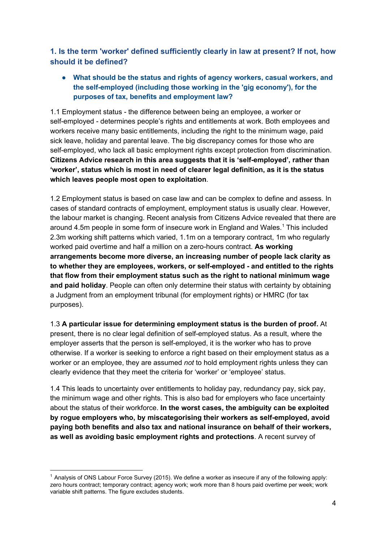**1. Is the term 'worker' defined sufficiently clearly in law at present? If not, how should it be defined?**

**● What should be the status and rights of agency workers, casual workers, and the self-employed (including those working in the 'gig economy'), for the purposes of tax, benefits and employment law?**

1.1 Employment status - the difference between being an employee, a worker or self-employed - determines people's rights and entitlements at work. Both employees and workers receive many basic entitlements, including the right to the minimum wage, paid sick leave, holiday and parental leave. The big discrepancy comes for those who are self-employed, who lack all basic employment rights except protection from discrimination. **Citizens Advice research in this area suggests that it is 'self-employed', rather than 'worker', status which is most in need of clearer legal definition, as it is the status which leaves people most open to exploitation**.

1.2 Employment status is based on case law and can be complex to define and assess. In cases of standard contracts of employment, employment status is usually clear. However, the labour market is changing. Recent analysis from Citizens Advice revealed that there are around 4.5m people in some form of insecure work in England and Wales.<sup>1</sup> This included 2.3m working shift patterns which varied, 1.1m on a temporary contract, 1m who regularly worked paid overtime and half a million on a zero-hours contract. **As working arrangements become more diverse, an increasing number of people lack clarity as to whether they are employees, workers, or self-employed - and entitled to the rights that flow from their employment status such as the right to national minimum wage and paid holiday**. People can often only determine their status with certainty by obtaining a Judgment from an employment tribunal (for employment rights) or HMRC (for tax purposes).

1.3 **A particular issue for determining employment status is the burden of proof.** At present, there is no clear legal definition of self-employed status. As a result, where the employer asserts that the person is self-employed, it is the worker who has to prove otherwise. If a worker is seeking to enforce a right based on their employment status as a worker or an employee, they are assumed *not* to hold employment rights unless they can clearly evidence that they meet the criteria for 'worker' or 'employee' status.

1.4 This leads to uncertainty over entitlements to holiday pay, redundancy pay, sick pay, the minimum wage and other rights. This is also bad for employers who face uncertainty about the status of their workforce. **In the worst cases, the ambiguity can be exploited by rogue employers who, by miscategorising their workers as self-employed, avoid paying both benefits and also tax and national insurance on behalf of their workers, as well as avoiding basic employment rights and protections**. A recent survey of

<sup>1</sup> Analysis of ONS Labour Force Survey (2015). We define a worker as insecure if any of the following apply: zero hours contract; temporary contract; agency work; work more than 8 hours paid overtime per week; work variable shift patterns. The figure excludes students.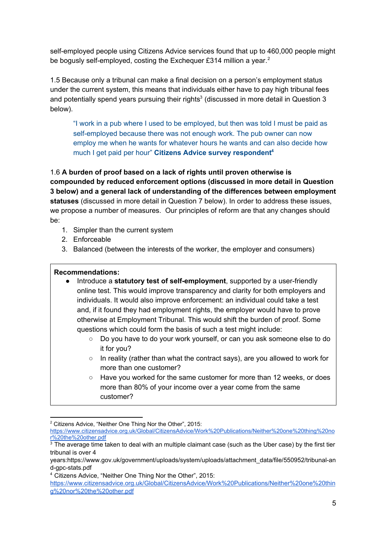self-employed people using Citizens Advice services found that up to 460,000 people might be bogusly self-employed, costing the Exchequer £314 million a year.<sup>2</sup>

1.5 Because only a tribunal can make a final decision on a person's employment status under the current system, this means that individuals either have to pay high tribunal fees and potentially spend years pursuing their rights<sup>3</sup> (discussed in more detail in Question 3 below).

"I work in a pub where I used to be employed, but then was told I must be paid as self-employed because there was not enough work. The pub owner can now employ me when he wants for whatever hours he wants and can also decide how much I get paid per hour" **Citizens Advice survey respondent 4**

1.6 **A burden of proof based on a lack of rights until proven otherwise is compounded by reduced enforcement options (discussed in more detail in Question 3 below) and a general lack of understanding of the differences between employment statuses** (discussed in more detail in Question 7 below). In order to address these issues, we propose a number of measures. Our principles of reform are that any changes should be:

- 1. Simpler than the current system
- 2. Enforceable
- 3. Balanced (between the interests of the worker, the employer and consumers)

#### **Recommendations:**

- Introduce a **statutory test of self-employment**, supported by a user-friendly online test. This would improve transparency and clarity for both employers and individuals. It would also improve enforcement: an individual could take a test and, if it found they had employment rights, the employer would have to prove otherwise at Employment Tribunal. This would shift the burden of proof. Some questions which could form the basis of such a test might include:
	- Do you have to do your work yourself, or can you ask someone else to do it for you?
	- In reality (rather than what the contract says), are you allowed to work for more than one customer?
	- Have you worked for the same customer for more than 12 weeks, or does more than 80% of your income over a year come from the same customer?

4 Citizens Advice, "Neither One Thing Nor the Other", 2015:

<sup>&</sup>lt;sup>2</sup> Citizens Advice, "Neither One Thing Nor the Other", 2015:

[https://www.citizensadvice.org.uk/Global/CitizensAdvice/Work%20Publications/Neither%20one%20thing%20no](https://www.citizensadvice.org.uk/Global/CitizensAdvice/Work%20Publications/Neither%20one%20thing%20nor%20the%20other.pdf) [r%20the%20other.pdf](https://www.citizensadvice.org.uk/Global/CitizensAdvice/Work%20Publications/Neither%20one%20thing%20nor%20the%20other.pdf)

 $3$  The average time taken to deal with an multiple claimant case (such as the Uber case) by the first tier tribunal is over 4

years:https://www.gov.uk/government/uploads/system/uploads/attachment\_data/file/550952/tribunal-an d-gpc-stats.pdf

[https://www.citizensadvice.org.uk/Global/CitizensAdvice/Work%20Publications/Neither%20one%20thin](https://www.citizensadvice.org.uk/Global/CitizensAdvice/Work%20Publications/Neither%20one%20thing%20nor%20the%20other.pdf) [g%20nor%20the%20other.pdf](https://www.citizensadvice.org.uk/Global/CitizensAdvice/Work%20Publications/Neither%20one%20thing%20nor%20the%20other.pdf)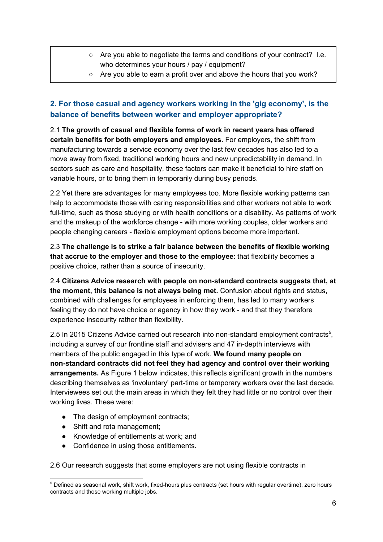- Are you able to negotiate the terms and conditions of your contract? I.e. who determines your hours / pay / equipment?
- Are you able to earn a profit over and above the hours that you work?

# **2. For those casual and agency workers working in the 'gig economy', is the balance of benefits between worker and employer appropriate?**

2.1 **The growth of casual and flexible forms of work in recent years has offered certain benefits for both employers and employees.** For employers, the shift from manufacturing towards a service economy over the last few decades has also led to a move away from fixed, traditional working hours and new unpredictability in demand. In sectors such as care and hospitality, these factors can make it beneficial to hire staff on variable hours, or to bring them in temporarily during busy periods.

2.2 Yet there are advantages for many employees too. More flexible working patterns can help to accommodate those with caring responsibilities and other workers not able to work full-time, such as those studying or with health conditions or a disability. As patterns of work and the makeup of the workforce change - with more working couples, older workers and people changing careers - flexible employment options become more important.

2.3 **The challenge is to strike a fair balance between the benefits of flexible working that accrue to the employer and those to the employee**: that flexibility becomes a positive choice, rather than a source of insecurity.

2.4 **Citizens Advice research with people on non-standard contracts suggests that, at the moment, this balance is not always being met.** Confusion about rights and status, combined with challenges for employees in enforcing them, has led to many workers feeling they do not have choice or agency in how they work - and that they therefore experience insecurity rather than flexibility.

2.5 In 2015 Citizens Advice carried out research into non-standard employment contracts<sup>5</sup>, including a survey of our frontline staff and advisers and 47 in-depth interviews with members of the public engaged in this type of work. **We found many people on non-standard contracts did not feel they had agency and control over their working arrangements.** As Figure 1 below indicates, this reflects significant growth in the numbers describing themselves as 'involuntary' part-time or temporary workers over the last decade. Interviewees set out the main areas in which they felt they had little or no control over their working lives. These were:

- The design of employment contracts;
- Shift and rota management;
- Knowledge of entitlements at work; and
- Confidence in using those entitlements.

2.6 Our research suggests that some employers are not using flexible contracts in

 $5$  Defined as seasonal work, shift work, fixed-hours plus contracts (set hours with regular overtime), zero hours contracts and those working multiple jobs.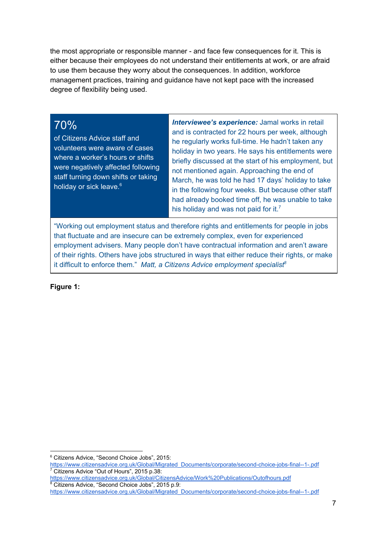the most appropriate or responsible manner - and face few consequences for it. This is either because their employees do not understand their entitlements at work, or are afraid to use them because they worry about the consequences. In addition, workforce management practices, training and guidance have not kept pace with the increased degree of flexibility being used.

# 70%

of Citizens Advice staff and volunteers were aware of cases where a worker's hours or shifts were negatively affected following staff turning down shifts or taking holiday or sick leave.<sup>6</sup>

 *Interviewee's experience:* Jamal works in retail and is contracted for 22 hours per week, although he regularly works full-time. He hadn't taken any holiday in two years. He says his entitlements were briefly discussed at the start of his employment, but not mentioned again. Approaching the end of March, he was told he had 17 days' holiday to take in the following four weeks. But because other staff had already booked time off, he was unable to take his holiday and was not paid for it.<sup>7</sup>

"Working out employment status and therefore rights and entitlements for people in jobs that fluctuate and are insecure can be extremely complex, even for experienced employment advisers. Many people don't have contractual information and aren't aware of their rights. Others have jobs structured in ways that either reduce their rights, or make it difficult to enforce them." *Matt, a Citizens Advice employment specialist<sup>8</sup>*

**Figure 1:**

<sup>6</sup> Citizens Advice, "Second Choice Jobs", 2015:

[https://www.citizensadvice.org.uk/Global/Migrated\\_Documents/corporate/second-choice-jobs-final--1-.pdf](https://www.citizensadvice.org.uk/Global/Migrated_Documents/corporate/second-choice-jobs-final--1-.pdf) <sup>7</sup> Citizens Advice "Out of Hours", 2015 p.38:

<https://www.citizensadvice.org.uk/Global/CitizensAdvice/Work%20Publications/Outofhours.pdf> <sup>8</sup> Citizens Advice, "Second Choice Jobs", 2015 p.9:

[https://www.citizensadvice.org.uk/Global/Migrated\\_Documents/corporate/second-choice-jobs-final--1-.pdf](https://www.citizensadvice.org.uk/Global/Migrated_Documents/corporate/second-choice-jobs-final--1-.pdf)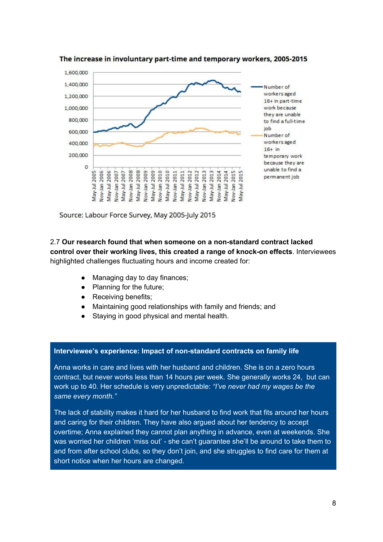



Source: Labour Force Survey, May 2005-July 2015

2.7 **Our research found that when someone on a non-standard contract lacked control over their working lives, this created a range of knock-on effects**. Interviewees highlighted challenges fluctuating hours and income created for:

- Managing day to day finances;
- Planning for the future;
- Receiving benefits;
- Maintaining good relationships with family and friends; and
- Staying in good physical and mental health.

#### **Interviewee's experience: Impact of non-standard contracts on family life**

Anna works in care and lives with her husband and children. She is on a zero hours contract, but never works less than 14 hours per week. She generally works 24, but can work up to 40. Her schedule is very unpredictable: *"I've never had my wages be the same every month."*

The lack of stability makes it hard for her husband to find work that fits around her hours and caring for their children. They have also argued about her tendency to accept overtime; Anna explained they cannot plan anything in advance, even at weekends. She was worried her children 'miss out' - she can't guarantee she'll be around to take them to and from after school clubs, so they don't join, and she struggles to find care for them at short notice when her hours are changed.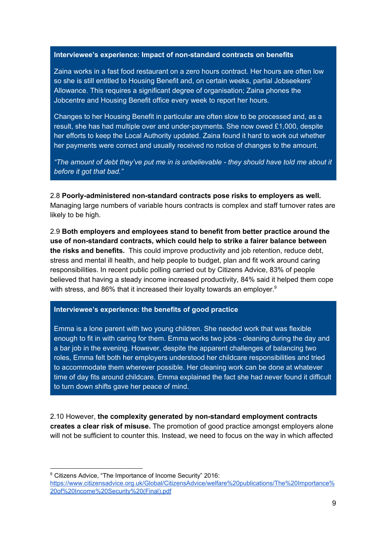#### **Interviewee's experience: Impact of non-standard contracts on benefits**

Zaina works in a fast food restaurant on a zero hours contract. Her hours are often low so she is still entitled to Housing Benefit and, on certain weeks, partial Jobseekers' Allowance. This requires a significant degree of organisation; Zaina phones the Jobcentre and Housing Benefit office every week to report her hours.

Changes to her Housing Benefit in particular are often slow to be processed and, as a result, she has had multiple over and under-payments. She now owed £1,000, despite her efforts to keep the Local Authority updated. Zaina found it hard to work out whether her payments were correct and usually received no notice of changes to the amount.

*"The amount of debt they've put me in is unbelievable - they should have told me about it before it got that bad."*

2.8 **Poorly-administered non-standard contracts pose risks to employers as well.** Managing large numbers of variable hours contracts is complex and staff turnover rates are likely to be high.

2.9 **Both employers and employees stand to benefit from better practice around the use of non-standard contracts, which could help to strike a fairer balance between the risks and benefits.**  This could improve productivity and job retention, reduce debt, stress and mental ill health, and help people to budget, plan and fit work around caring responsibilities. In recent public polling carried out by Citizens Advice, 83% of people believed that having a steady income increased productivity, 84% said it helped them cope with stress, and 86% that it increased their loyalty towards an employer.<sup>9</sup>

#### **Interviewee's experience: the benefits of good practice**

Emma is a lone parent with two young children. She needed work that was flexible enough to fit in with caring for them. Emma works two jobs - cleaning during the day and a bar job in the evening. However, despite the apparent challenges of balancing two roles, Emma felt both her employers understood her childcare responsibilities and tried to accommodate them wherever possible. Her cleaning work can be done at whatever time of day fits around childcare. Emma explained the fact she had never found it difficult to turn down shifts gave her peace of mind.

2.10 However, **the complexity generated by non-standard employment contracts creates a clear risk of misuse.** The promotion of good practice amongst employers alone will not be sufficient to counter this. Instead, we need to focus on the way in which affected

<sup>9</sup> Citizens Advice, "The Importance of Income Security" 2016:

[https://www.citizensadvice.org.uk/Global/CitizensAdvice/welfare%20publications/The%20Importance%](https://www.citizensadvice.org.uk/Global/CitizensAdvice/welfare%20publications/The%20Importance%20of%20Income%20Security%20(Final).pdf) [20of%20Income%20Security%20\(Final\).pdf](https://www.citizensadvice.org.uk/Global/CitizensAdvice/welfare%20publications/The%20Importance%20of%20Income%20Security%20(Final).pdf)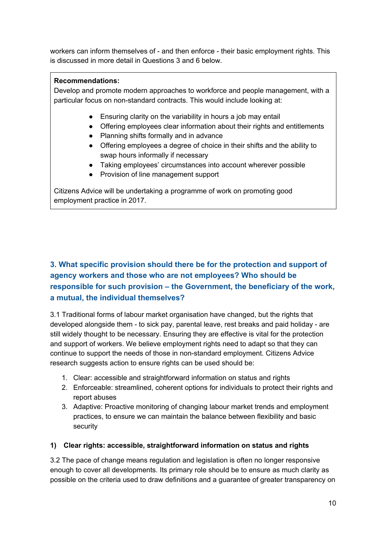workers can inform themselves of - and then enforce - their basic employment rights. This is discussed in more detail in Questions 3 and 6 below.

# **Recommendations:**

Develop and promote modern approaches to workforce and people management, with a particular focus on non-standard contracts. This would include looking at:

- Ensuring clarity on the variability in hours a job may entail
- Offering employees clear information about their rights and entitlements
- Planning shifts formally and in advance
- Offering employees a degree of choice in their shifts and the ability to swap hours informally if necessary
- Taking employees' circumstances into account wherever possible
- Provision of line management support

Citizens Advice will be undertaking a programme of work on promoting good employment practice in 2017.

# **3. What specific provision should there be for the protection and support of agency workers and those who are not employees? Who should be responsible for such provision – the Government, the beneficiary of the work, a mutual, the individual themselves?**

3.1 Traditional forms of labour market organisation have changed, but the rights that developed alongside them - to sick pay, parental leave, rest breaks and paid holiday - are still widely thought to be necessary. Ensuring they are effective is vital for the protection and support of workers. We believe employment rights need to adapt so that they can continue to support the needs of those in non-standard employment. Citizens Advice research suggests action to ensure rights can be used should be:

- 1. Clear: accessible and straightforward information on status and rights
- 2. Enforceable: streamlined, coherent options for individuals to protect their rights and report abuses
- 3. Adaptive: Proactive monitoring of changing labour market trends and employment practices, to ensure we can maintain the balance between flexibility and basic security

# **1) Clear rights: accessible, straightforward information on status and rights**

3.2 The pace of change means regulation and legislation is often no longer responsive enough to cover all developments. Its primary role should be to ensure as much clarity as possible on the criteria used to draw definitions and a guarantee of greater transparency on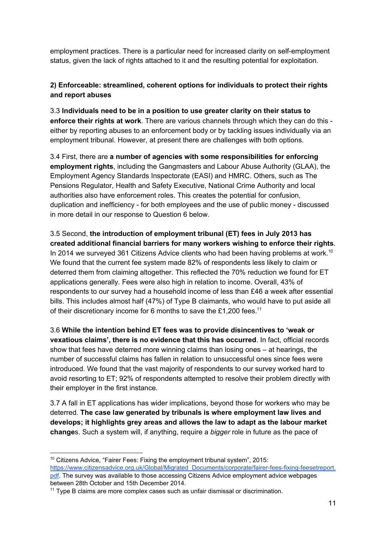employment practices. There is a particular need for increased clarity on self-employment status, given the lack of rights attached to it and the resulting potential for exploitation.

# **2) Enforceable: streamlined, coherent options for individuals to protect their rights and report abuses**

3.3 **Individuals need to be in a position to use greater clarity on their status to enforce their rights at work**. There are various channels through which they can do this either by reporting abuses to an enforcement body or by tackling issues individually via an employment tribunal. However, at present there are challenges with both options.

3.4 First, there are **a number of agencies with some responsibilities for enforcing employment rights**, including the Gangmasters and Labour Abuse Authority (GLAA), the Employment Agency Standards Inspectorate (EASI) and HMRC. Others, such as The Pensions Regulator, Health and Safety Executive, National Crime Authority and local authorities also have enforcement roles. This creates the potential for confusion, duplication and inefficiency - for both employees and the use of public money - discussed in more detail in our response to Question 6 below.

3.5 Second, **the introduction of employment tribunal (ET) fees in July 2013 has created additional financial barriers for many workers wishing to enforce their rights**. In 2014 we surveyed 361 Citizens Advice clients who had been having problems at work.<sup>10</sup> We found that the current fee system made 82% of respondents less likely to claim or deterred them from claiming altogether. This reflected the 70% reduction we found for ET applications generally. Fees were also high in relation to income. Overall, 43% of respondents to our survey had a household income of less than £46 a week after essential bills. This includes almost half (47%) of Type B claimants, who would have to put aside all of their discretionary income for 6 months to save the £1,200 fees.<sup>11</sup>

3.6 **While the intention behind ET fees was to provide disincentives to 'weak or vexatious claims', there is no evidence that this has occurred**. In fact, official records show that fees have deterred more winning claims than losing ones – at hearings, the number of successful claims has fallen in relation to unsuccessful ones since fees were introduced. We found that the vast majority of respondents to our survey worked hard to avoid resorting to ET; 92% of respondents attempted to resolve their problem directly with their employer in the first instance.

3.7 A fall in ET applications has wider implications, beyond those for workers who may be deterred. **The case law generated by tribunals is where employment law lives and develops; it highlights grey areas and allows the law to adapt as the labour market change**s. Such a system will, if anything, require a *bigger* role in future as the pace of

<sup>&</sup>lt;sup>10</sup> Citizens Advice, "Fairer Fees: Fixing the employment tribunal system", 2015: [https://www.citizensadvice.org.uk/Global/Migrated\\_Documents/corporate/fairer-fees-fixing-feesetreport.](https://www.citizensadvice.org.uk/Global/Migrated_Documents/corporate/fairer-fees-fixing-feesetreport.pdf) [pdf.](https://www.citizensadvice.org.uk/Global/Migrated_Documents/corporate/fairer-fees-fixing-feesetreport.pdf) The survey was available to those accessing Citizens Advice employment advice webpages between 28th October and 15th December 2014.

<sup>11</sup> Type B claims are more complex cases such as unfair dismissal or discrimination.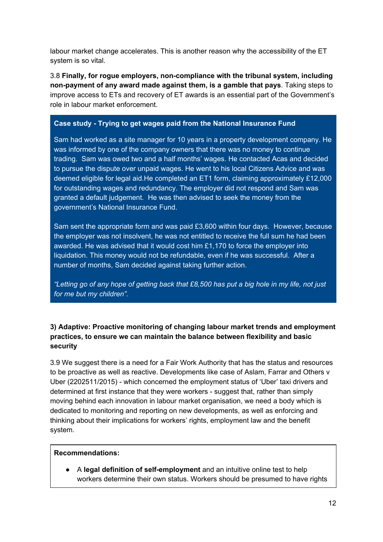labour market change accelerates. This is another reason why the accessibility of the ET system is so vital.

3.8 **Finally, for rogue employers, non-compliance with the tribunal system, including non-payment of any award made against them, is a gamble that pays**. Taking steps to improve access to ETs and recovery of ET awards is an essential part of the Government's role in labour market enforcement.

# **Case study - Trying to get wages paid from the National Insurance Fund**

Sam had worked as a site manager for 10 years in a property development company. He was informed by one of the company owners that there was no money to continue trading. Sam was owed two and a half months' wages. He contacted Acas and decided to pursue the dispute over unpaid wages. He went to his local Citizens Advice and was deemed eligible for legal aid.He completed an ET1 form, claiming approximately £12,000 for outstanding wages and redundancy. The employer did not respond and Sam was granted a default judgement. He was then advised to seek the money from the government's National Insurance Fund.

Sam sent the appropriate form and was paid £3,600 within four days. However, because the employer was not insolvent, he was not entitled to receive the full sum he had been awarded. He was advised that it would cost him  $£1,170$  to force the employer into liquidation. This money would not be refundable, even if he was successful. After a number of months, Sam decided against taking further action.

*"Letting go of any hope of getting back that £8,500 has put a big hole in my life, not just for me but my children".*

# **3) Adaptive: Proactive monitoring of changing labour market trends and employment practices, to ensure we can maintain the balance between flexibility and basic security**

3.9 We suggest there is a need for a Fair Work Authority that has the status and resources to be proactive as well as reactive. Developments like case of Aslam, Farrar and Others v Uber (2202511/2015) - which concerned the employment status of 'Uber' taxi drivers and determined at first instance that they were workers - suggest that, rather than simply moving behind each innovation in labour market organisation, we need a body which is dedicated to monitoring and reporting on new developments, as well as enforcing and thinking about their implications for workers' rights, employment law and the benefit system.

# **Recommendations:**

● A **legal definition of self-employment** and an intuitive online test to help workers determine their own status. Workers should be presumed to have rights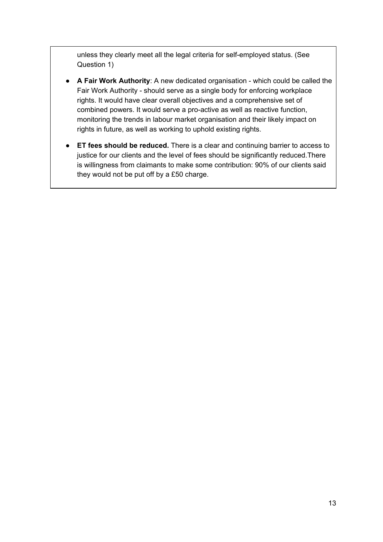unless they clearly meet all the legal criteria for self-employed status. (See Question 1)

- **A Fair Work Authority**: A new dedicated organisation which could be called the Fair Work Authority - should serve as a single body for enforcing workplace rights. It would have clear overall objectives and a comprehensive set of combined powers. It would serve a pro-active as well as reactive function, monitoring the trends in labour market organisation and their likely impact on rights in future, as well as working to uphold existing rights.
- **ET fees should be reduced.** There is a clear and continuing barrier to access to justice for our clients and the level of fees should be significantly reduced. There is willingness from claimants to make some contribution: 90% of our clients said they would not be put off by a £50 charge.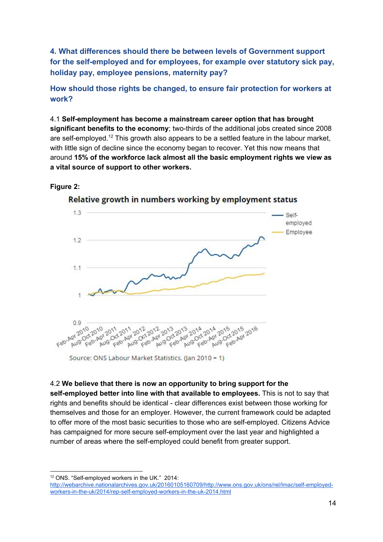**4. What differences should there be between levels of Government support for the self-employed and for employees, for example over statutory sick pay, holiday pay, employee pensions, maternity pay?**

# **How should those rights be changed, to ensure fair protection for workers at work?**

4.1 **Self-employment has become a mainstream career option that has brought significant benefits to the economy**; two-thirds of the additional jobs created since 2008 are self-employed.<sup>12</sup> This growth also appears to be a settled feature in the labour market, with little sign of decline since the economy began to recover. Yet this now means that around **15% of the workforce lack almost all the basic employment rights we view as a vital source of support to other workers.**

# **Figure 2:**



Relative growth in numbers working by employment status

# 4.2 **We believe that there is now an opportunity to bring support for the**

**self-employed better into line with that available to employees.** This is not to say that rights and benefits should be identical - clear differences exist between those working for themselves and those for an employer. However, the current framework could be adapted to offer more of the most basic securities to those who are self-employed. Citizens Advice has campaigned for more secure self-employment over the last year and highlighted a number of areas where the self-employed could benefit from greater support.

<sup>12</sup> ONS. "Self-employed workers in the UK." 2014:

[http://webarchive.nationalarchives.gov.uk/20160105160709/http://www.ons.gov.uk/ons/rel/lmac/self-employed](http://webarchive.nationalarchives.gov.uk/20160105160709/http://www.ons.gov.uk/ons/rel/lmac/self-employed-workers-in-the-uk/2014/rep-self-employed-workers-in-the-uk-2014.html)[workers-in-the-uk/2014/rep-self-employed-workers-in-the-uk-2014.html](http://webarchive.nationalarchives.gov.uk/20160105160709/http://www.ons.gov.uk/ons/rel/lmac/self-employed-workers-in-the-uk/2014/rep-self-employed-workers-in-the-uk-2014.html)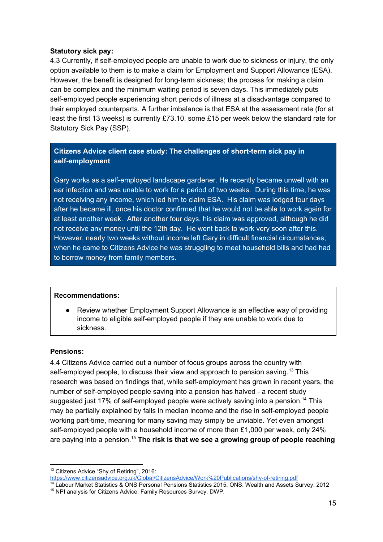#### **Statutory sick pay:**

4.3 Currently, if self-employed people are unable to work due to sickness or injury, the only option available to them is to make a claim for Employment and Support Allowance (ESA). However, the benefit is designed for long-term sickness; the process for making a claim can be complex and the minimum waiting period is seven days. This immediately puts self-employed people experiencing short periods of illness at a disadvantage compared to their employed counterparts. A further imbalance is that ESA at the assessment rate (for at least the first 13 weeks) is currently £73.10, some £15 per week below the standard rate for Statutory Sick Pay (SSP).

# **Citizens Advice client case study: The challenges of short-term sick pay in self-employment**

Gary works as a self-employed landscape gardener. He recently became unwell with an ear infection and was unable to work for a period of two weeks. During this time, he was not receiving any income, which led him to claim ESA. His claim was lodged four days after he became ill, once his doctor confirmed that he would not be able to work again for at least another week. After another four days, his claim was approved, although he did not receive any money until the 12th day. He went back to work very soon after this. However, nearly two weeks without income left Gary in difficult financial circumstances; when he came to Citizens Advice he was struggling to meet household bills and had had to borrow money from family members.

#### **Recommendations:**

Review whether Employment Support Allowance is an effective way of providing income to eligible self-employed people if they are unable to work due to sickness.

# **Pensions:**

4.4 Citizens Advice carried out a number of focus groups across the country with self-employed people, to discuss their view and approach to pension saving.<sup>13</sup> This research was based on findings that, while self-employment has grown in recent years, the number of self-employed people saving into a pension has halved - a recent study suggested just 17% of self-employed people were actively saving into a pension.<sup>14</sup> This may be partially explained by falls in median income and the rise in self-employed people working part-time, meaning for many saving may simply be unviable. Yet even amongst self-employed people with a household income of more than  $£1,000$  per week, only 24% are paying into a pension. **The risk is that we see a growing group of people reaching** 15

<sup>&</sup>lt;sup>13</sup> Citizens Advice "Shy of Retiring", 2016: <https://www.citizensadvice.org.uk/Global/CitizensAdvice/Work%20Publications/shy-of-retiring.pdf>

<sup>14</sup> Labour Market Statistics & ONS Personal Pensions Statistics 2015; ONS. Wealth and Assets Survey. 2012 <sup>15</sup> NPI analysis for Citizens Advice. Family Resources Survey, DWP.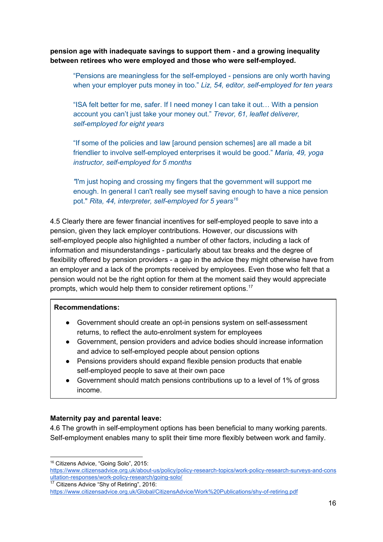**pension age with inadequate savings to support them - and a growing inequality between retirees who were employed and those who were self-employed.**

"Pensions are meaningless for the self-employed - pensions are only worth having when your employer puts money in too." *Liz, 54, editor, self-employed for ten years*

"ISA felt better for me, safer. If I need money I can take it out… With a pension account you can't just take your money out." *Trevor, 61, leaflet deliverer, self-employed for eight years*

"If some of the policies and law [around pension schemes] are all made a bit friendlier to involve self-employed enterprises it would be good." *Maria, 49, yoga instructor, self-employed for 5 months*

*"*I'm just hoping and crossing my fingers that the government will support me enough. In general I can't really see myself saving enough to have a nice pension pot." *Rita, 44, interpreter, self-employed for 5 years<sup>16</sup>*

4.5 Clearly there are fewer financial incentives for self-employed people to save into a pension, given they lack employer contributions. However, our discussions with self-employed people also highlighted a number of other factors, including a lack of information and misunderstandings - particularly about tax breaks and the degree of flexibility offered by pension providers - a gap in the advice they might otherwise have from an employer and a lack of the prompts received by employees. Even those who felt that a pension would not be the right option for them at the moment said they would appreciate prompts, which would help them to consider retirement options.<sup>17</sup>

#### **Recommendations:**

- Government should create an opt-in pensions system on self-assessment returns, to reflect the auto-enrolment system for employees
- Government, pension providers and advice bodies should increase information and advice to self-employed people about pension options
- Pensions providers should expand flexible pension products that enable self-employed people to save at their own pace
- Government should match pensions contributions up to a level of 1% of gross income.

# **Maternity pay and parental leave:**

4.6 The growth in self-employment options has been beneficial to many working parents. Self-employment enables many to split their time more flexibly between work and family.

<sup>16</sup> Citizens Advice, "Going Solo", 2015:

[https://www.citizensadvice.org.uk/about-us/policy/policy-research-topics/work-policy-research-surveys-and-cons](https://www.citizensadvice.org.uk/about-us/policy/policy-research-topics/work-policy-research-surveys-and-consultation-responses/work-policy-research/going-solo/) [ultation-responses/work-policy-research/going-solo/](https://www.citizensadvice.org.uk/about-us/policy/policy-research-topics/work-policy-research-surveys-and-consultation-responses/work-policy-research/going-solo/)

<sup>&</sup>lt;sup>17</sup> Citizens Advice "Shy of Retiring", 2016:

<https://www.citizensadvice.org.uk/Global/CitizensAdvice/Work%20Publications/shy-of-retiring.pdf>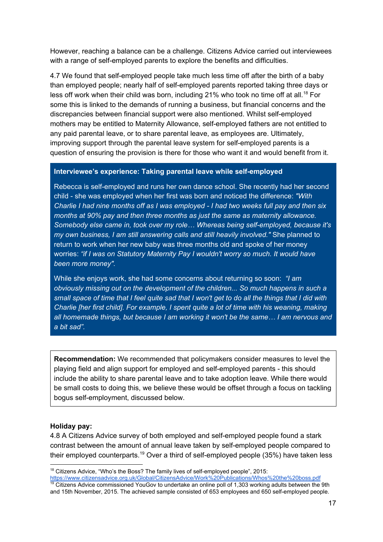However, reaching a balance can be a challenge. Citizens Advice carried out interviewees with a range of self-employed parents to explore the benefits and difficulties.

4.7 We found that self-employed people take much less time off after the birth of a baby than employed people; nearly half of self-employed parents reported taking three days or less off work when their child was born, including 21% who took no time off at all.<sup>18</sup> For some this is linked to the demands of running a business, but financial concerns and the discrepancies between financial support were also mentioned. Whilst self-employed mothers may be entitled to Maternity Allowance, self-employed fathers are not entitled to any paid parental leave, or to share parental leave, as employees are. Ultimately, improving support through the parental leave system for self-employed parents is a question of ensuring the provision is there for those who want it and would benefit from it.

#### **Interviewee's experience: Taking parental leave while self-employed**

Rebecca is self-employed and runs her own dance school. She recently had her second child - she was employed when her first was born and noticed the difference: *"With Charlie I had nine months off as I was employed - I had two weeks full pay and then six months at 90% pay and then three months as just the same as maternity allowance. Somebody else came in, took over my role… Whereas being self-employed, because it's my own business, I am still answering calls and still heavily involved."* She planned to return to work when her new baby was three months old and spoke of her money worries: *"if I was on Statutory Maternity Pay I wouldn't worry so much. It would have been more money".*

While she enjoys work, she had some concerns about returning so soon: *"I am obviously missing out on the development of the children... So much happens in such a small space of time that I feel quite sad that I won't get to do all the things that I did with Charlie [her first child]. For example, I spent quite a lot of time with his weaning, making all homemade things, but because I am working it won't be the same… I am nervous and a bit sad".*

**Recommendation:** We recommended that policymakers consider measures to level the playing field and align support for employed and self-employed parents - this should include the ability to share parental leave and to take adoption leave. While there would be small costs to doing this, we believe these would be offset through a focus on tackling bogus self-employment, discussed below.

#### **Holiday pay:**

4.8 A Citizens Advice survey of both employed and self-employed people found a stark contrast between the amount of annual leave taken by self-employed people compared to their employed counterparts.<sup>19</sup> Over a third of self-employed people (35%) have taken less

<sup>&</sup>lt;sup>18</sup> Citizens Advice, "Who's the Boss? The family lives of self-employed people", 2015: <https://www.citizensadvice.org.uk/Global/CitizensAdvice/Work%20Publications/Whos%20the%20boss.pdf>

Citizens Advice commissioned YouGov to undertake an online poll of 1,303 working adults between the 9th and 15th November, 2015. The achieved sample consisted of 653 employees and 650 self-employed people.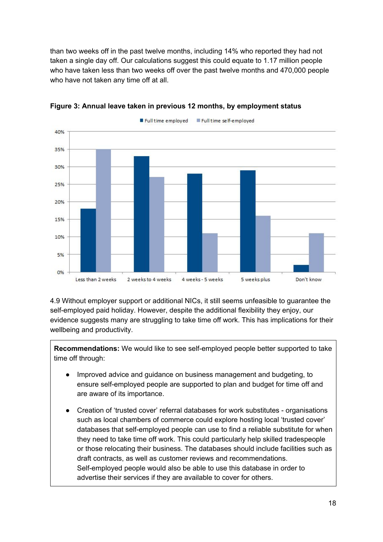than two weeks off in the past twelve months, including 14% who reported they had not taken a single day off. Our calculations suggest this could equate to 1.17 million people who have taken less than two weeks off over the past twelve months and 470,000 people who have not taken any time off at all.



**Figure 3: Annual leave taken in previous 12 months, by employment status**

4.9 Without employer support or additional NICs, it still seems unfeasible to guarantee the self-employed paid holiday. However, despite the additional flexibility they enjoy, our evidence suggests many are struggling to take time off work. This has implications for their wellbeing and productivity.

**Recommendations:** We would like to see self-employed people better supported to take time off through:

- Improved advice and quidance on business management and budgeting, to ensure self-employed people are supported to plan and budget for time off and are aware of its importance.
- Creation of 'trusted cover' referral databases for work substitutes organisations such as local chambers of commerce could explore hosting local 'trusted cover' databases that self-employed people can use to find a reliable substitute for when they need to take time off work. This could particularly help skilled tradespeople or those relocating their business. The databases should include facilities such as draft contracts, as well as customer reviews and recommendations. Self-employed people would also be able to use this database in order to advertise their services if they are available to cover for others.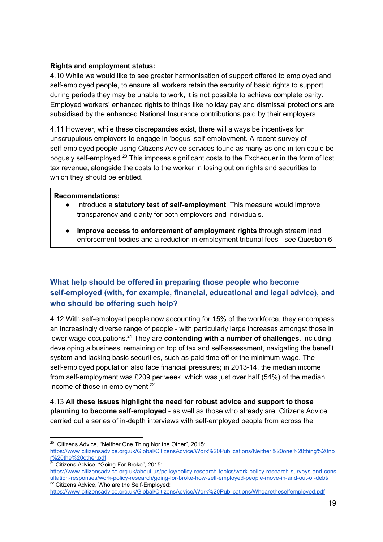## **Rights and employment status:**

4.10 While we would like to see greater harmonisation of support offered to employed and self-employed people, to ensure all workers retain the security of basic rights to support during periods they may be unable to work, it is not possible to achieve complete parity. Employed workers' enhanced rights to things like holiday pay and dismissal protections are subsidised by the enhanced National Insurance contributions paid by their employers.

4.11 However, while these discrepancies exist, there will always be incentives for unscrupulous employers to engage in 'bogus' self-employment. A recent survey of self-employed people using Citizens Advice services found as many as one in ten could be bogusly self-employed.<sup>20</sup> This imposes significant costs to the Exchequer in the form of lost tax revenue, alongside the costs to the worker in losing out on rights and securities to which they should be entitled.

#### **Recommendations:**

- Introduce a **statutory test of self-employment**. This measure would improve transparency and clarity for both employers and individuals.
- **Improve access to enforcement of employment rights** through streamlined enforcement bodies and a reduction in employment tribunal fees - see Question 6

# **What help should be offered in preparing those people who become self-employed (with, for example, financial, educational and legal advice), and who should be offering such help?**

4.12 With self-employed people now accounting for 15% of the workforce, they encompass an increasingly diverse range of people - with particularly large increases amongst those in lower wage occupations.<sup>21</sup> They are **contending with a number of challenges**, including developing a business, remaining on top of tax and self-assessment, navigating the benefit system and lacking basic securities, such as paid time off or the minimum wage. The self-employed population also face financial pressures; in 2013-14, the median income from self-employment was £209 per week, which was just over half (54%) of the median income of those in employment.<sup>22</sup>

4.13 **All these issues highlight the need for robust advice and support to those planning to become self-employed** - as well as those who already are. Citizens Advice carried out a series of in-depth interviews with self-employed people from across the

<sup>&</sup>lt;sup>20</sup> Citizens Advice, "Neither One Thing Nor the Other", 2015:

[https://www.citizensadvice.org.uk/Global/CitizensAdvice/Work%20Publications/Neither%20one%20thing%20no](https://www.citizensadvice.org.uk/Global/CitizensAdvice/Work%20Publications/Neither%20one%20thing%20nor%20the%20other.pdf) [r%20the%20other.pdf](https://www.citizensadvice.org.uk/Global/CitizensAdvice/Work%20Publications/Neither%20one%20thing%20nor%20the%20other.pdf)

<sup>21</sup> Citizens Advice, "Going For Broke", 2015:

[https://www.citizensadvice.org.uk/about-us/policy/policy-research-topics/work-policy-research-surveys-and-cons](https://www.citizensadvice.org.uk/about-us/policy/policy-research-topics/work-policy-research-surveys-and-consultation-responses/work-policy-research/going-for-broke-how-self-employed-people-move-in-and-out-of-debt/) [ultation-responses/work-policy-research/going-for-broke-how-self-employed-people-move-in-and-out-of-debt/](https://www.citizensadvice.org.uk/about-us/policy/policy-research-topics/work-policy-research-surveys-and-consultation-responses/work-policy-research/going-for-broke-how-self-employed-people-move-in-and-out-of-debt/)  $22$  Citizens Advice, Who are the Self-Employed:

<https://www.citizensadvice.org.uk/Global/CitizensAdvice/Work%20Publications/Whoaretheselfemployed.pdf>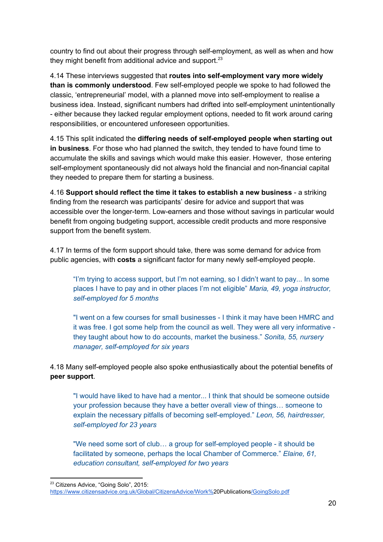country to find out about their progress through self-employment, as well as when and how they might benefit from additional advice and support.<sup>23</sup>

4.14 These interviews suggested that **routes into self-employment vary more widely than is commonly understood**. Few self-employed people we spoke to had followed the classic, 'entrepreneurial' model, with a planned move into self-employment to realise a business idea. Instead, significant numbers had drifted into self-employment unintentionally - either because they lacked regular employment options, needed to fit work around caring responsibilities, or encountered unforeseen opportunities.

4.15 This split indicated the **differing needs of self-employed people when starting out in business**. For those who had planned the switch, they tended to have found time to accumulate the skills and savings which would make this easier. However, those entering self-employment spontaneously did not always hold the financial and non-financial capital they needed to prepare them for starting a business.

4.16 **Support should reflect the time it takes to establish a new business** - a striking finding from the research was participants' desire for advice and support that was accessible over the longer-term. Low-earners and those without savings in particular would benefit from ongoing budgeting support, accessible credit products and more responsive support from the benefit system.

4.17 In terms of the form support should take, there was some demand for advice from public agencies, with **costs** a significant factor for many newly self-employed people.

"I'm trying to access support, but I'm not earning, so I didn't want to pay... In some places I have to pay and in other places I'm not eligible" *Maria, 49, yoga instructor, self-employed for 5 months*

"I went on a few courses for small businesses - I think it may have been HMRC and it was free. I got some help from the council as well. They were all very informative they taught about how to do accounts, market the business." *Sonita, 55, nursery manager, self-employed for six years*

4.18 Many self-employed people also spoke enthusiastically about the potential benefits of **peer support**.

"I would have liked to have had a mentor... I think that should be someone outside your profession because they have a better overall view of things… someone to explain the necessary pitfalls of becoming self-employed." *Leon, 56, hairdresser, self-employed for 23 years*

"We need some sort of club… a group for self-employed people - it should be facilitated by someone, perhaps the local Chamber of Commerce." *Elaine, 61, education consultant, self-employed for two years*

<sup>23</sup> Citizens Advice, "Going Solo", 2015:

[https://www.citizensadvice.org.uk/Global/CitizensAdvice/Work%](https://www.citizensadvice.org.uk/Global/CitizensAdvice/Work%20Publications/GoingSolo.pdf)20Publication[s/GoingSolo.pdf](https://www.citizensadvice.org.uk/Global/CitizensAdvice/Work%20Publications/GoingSolo.pdf)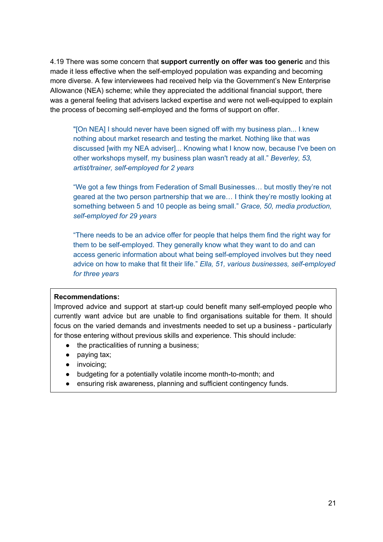4.19 There was some concern that **support currently on offer was too generic** and this made it less effective when the self-employed population was expanding and becoming more diverse. A few interviewees had received help via the Government's New Enterprise Allowance (NEA) scheme; while they appreciated the additional financial support, there was a general feeling that advisers lacked expertise and were not well-equipped to explain the process of becoming self-employed and the forms of support on offer.

"[On NEA] I should never have been signed off with my business plan... I knew nothing about market research and testing the market. Nothing like that was discussed [with my NEA adviser]... Knowing what I know now, because I've been on other workshops myself, my business plan wasn't ready at all." *Beverley, 53, artist/trainer, self-employed for 2 years*

"We got a few things from Federation of Small Businesses… but mostly they're not geared at the two person partnership that we are… I think they're mostly looking at something between 5 and 10 people as being small." *Grace, 50, media production, self-employed for 29 years*

"There needs to be an advice offer for people that helps them find the right way for them to be self-employed. They generally know what they want to do and can access generic information about what being self-employed involves but they need advice on how to make that fit their life." *Ella, 51, various businesses, self-employed for three years*

#### **Recommendations:**

Improved advice and support at start-up could benefit many self-employed people who currently want advice but are unable to find organisations suitable for them. It should focus on the varied demands and investments needed to set up a business - particularly for those entering without previous skills and experience. This should include:

- the practicalities of running a business;
- paying tax;
- invoicing;
- budgeting for a potentially volatile income month-to-month; and
- ensuring risk awareness, planning and sufficient contingency funds.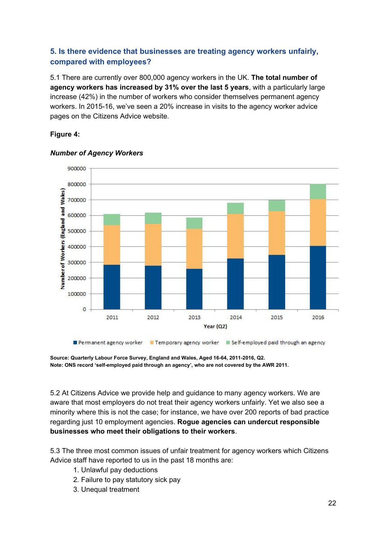# **5. Is there evidence that businesses are treating agency workers unfairly, compared with employees?**

5.1 There are currently over 800,000 agency workers in the UK. **The total number of agency workers has increased by 31% over the last 5 years**, with a particularly large increase (42%) in the number of workers who consider themselves permanent agency workers. In 2015-16, we've seen a 20% increase in visits to the agency worker advice pages on the Citizens Advice website.

# **Figure 4:**



#### *Number of Agency Workers*

**Source: Quarterly Labour Force Survey, England and Wales, Aged 16-64, 2011-2016, Q2. Note: ONS record 'self-employed paid through an agency', who are not covered by the AWR 2011.**

5.2 At Citizens Advice we provide help and guidance to many agency workers. We are aware that most employers do not treat their agency workers unfairly. Yet we also see a minority where this is not the case; for instance, we have over 200 reports of bad practice regarding just 10 employment agencies. **Rogue agencies can undercut responsible businesses who meet their obligations to their workers**.

5.3 The three most common issues of unfair treatment for agency workers which Citizens Advice staff have reported to us in the past 18 months are:

- 1. Unlawful pay deductions
- 2. Failure to pay statutory sick pay
- 3. Unequal treatment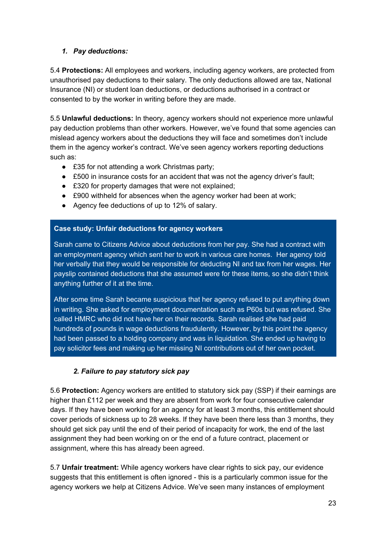# *1. Pay deductions:*

5.4 **Protections:** All employees and workers, including agency workers, are protected from unauthorised pay deductions to their salary. The only deductions allowed are tax, National Insurance (NI) or student loan deductions, or deductions authorised in a contract or consented to by the worker in writing before they are made.

5.5 **Unlawful deductions:** In theory, agency workers should not experience more unlawful pay deduction problems than other workers. However, we've found that some agencies can mislead agency workers about the deductions they will face and sometimes don't include them in the agency worker's contract. We've seen agency workers reporting deductions such as:

- £35 for not attending a work Christmas party;
- £500 in insurance costs for an accident that was not the agency driver's fault;
- £320 for property damages that were not explained;
- £900 withheld for absences when the agency worker had been at work;
- Agency fee deductions of up to 12% of salary.

# **Case study: Unfair deductions for agency workers**

Sarah came to Citizens Advice about deductions from her pay. She had a contract with an employment agency which sent her to work in various care homes. Her agency told her verbally that they would be responsible for deducting NI and tax from her wages. Her payslip contained deductions that she assumed were for these items, so she didn't think anything further of it at the time.

After some time Sarah became suspicious that her agency refused to put anything down in writing. She asked for employment documentation such as P60s but was refused. She called HMRC who did not have her on their records. Sarah realised she had paid hundreds of pounds in wage deductions fraudulently. However, by this point the agency had been passed to a holding company and was in liquidation. She ended up having to pay solicitor fees and making up her missing NI contributions out of her own pocket.

# *2. Failure to pay statutory sick pay*

5.6 **Protection:** Agency workers are entitled to statutory sick pay (SSP) if their earnings are higher than £112 per week and they are absent from work for four consecutive calendar days. If they have been working for an agency for at least 3 months, this entitlement should cover periods of sickness up to 28 weeks. If they have been there less than 3 months, they should get sick pay until the end of their period of incapacity for work, the end of the last assignment they had been working on or the end of a future contract, placement or assignment, where this has already been agreed.

5.7 **Unfair treatment:** While agency workers have clear rights to sick pay, our evidence suggests that this entitlement is often ignored - this is a particularly common issue for the agency workers we help at Citizens Advice. We've seen many instances of employment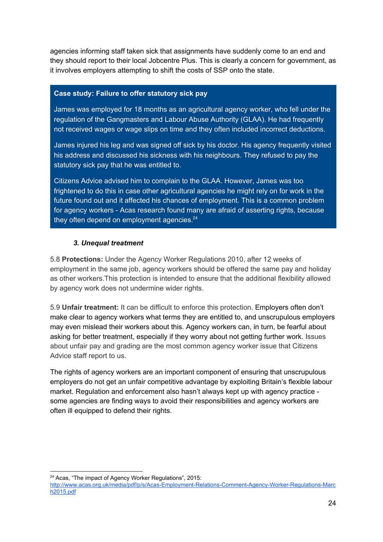agencies informing staff taken sick that assignments have suddenly come to an end and they should report to their local Jobcentre Plus. This is clearly a concern for government, as it involves employers attempting to shift the costs of SSP onto the state.

#### **Case study: Failure to offer statutory sick pay**

James was employed for 18 months as an agricultural agency worker, who fell under the regulation of the Gangmasters and Labour Abuse Authority (GLAA). He had frequently not received wages or wage slips on time and they often included incorrect deductions.

James injured his leg and was signed off sick by his doctor. His agency frequently visited his address and discussed his sickness with his neighbours. They refused to pay the statutory sick pay that he was entitled to.

Citizens Advice advised him to complain to the GLAA. However, James was too frightened to do this in case other agricultural agencies he might rely on for work in the future found out and it affected his chances of employment. This is a common problem for agency workers - Acas research found many are afraid of asserting rights, because they often depend on employment agencies. $24$ 

# *3. Unequal treatment*

5.8 **Protections:** Under the Agency Worker Regulations 2010, after 12 weeks of employment in the same job, agency workers should be offered the same pay and holiday as other workers.This protection is intended to ensure that the additional flexibility allowed by agency work does not undermine wider rights.

5.9 **Unfair treatment:** It can be difficult to enforce this protection. Employers often don't make clear to agency workers what terms they are entitled to, and unscrupulous employers may even mislead their workers about this. Agency workers can, in turn, be fearful about asking for better treatment, especially if they worry about not getting further work. Issues about unfair pay and grading are the most common agency worker issue that Citizens Advice staff report to us.

The rights of agency workers are an important component of ensuring that unscrupulous employers do not get an unfair competitive advantage by exploiting Britain's flexible labour market. Regulation and enforcement also hasn't always kept up with agency practice some agencies are finding ways to avoid their responsibilities and agency workers are often ill equipped to defend their rights.

<sup>&</sup>lt;sup>24</sup> Acas, "The impact of Agency Worker Regulations", 2015:

[http://www.acas.org.uk/media/pdf/p/s/Acas-Employment-Relations-Comment-Agency-Worker-Regulations-Marc](http://www.acas.org.uk/media/pdf/p/s/Acas-Employment-Relations-Comment-Agency-Worker-Regulations-March2015.pdf) [h2015.pdf](http://www.acas.org.uk/media/pdf/p/s/Acas-Employment-Relations-Comment-Agency-Worker-Regulations-March2015.pdf)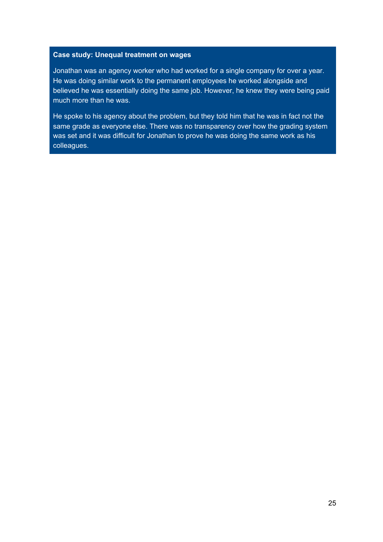#### **Case study: Unequal treatment on wages**

Jonathan was an agency worker who had worked for a single company for over a year. He was doing similar work to the permanent employees he worked alongside and believed he was essentially doing the same job. However, he knew they were being paid much more than he was.

He spoke to his agency about the problem, but they told him that he was in fact not the same grade as everyone else. There was no transparency over how the grading system was set and it was difficult for Jonathan to prove he was doing the same work as his colleagues.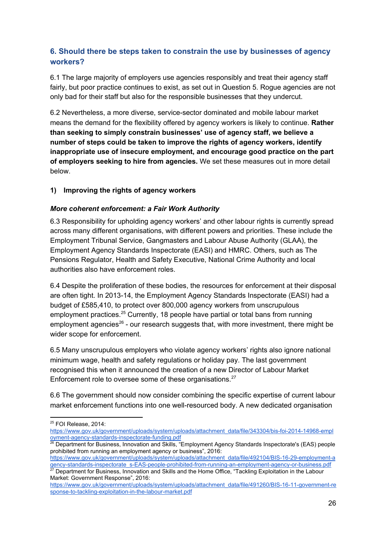# **6. Should there be steps taken to constrain the use by businesses of agency workers?**

6.1 The large majority of employers use agencies responsibly and treat their agency staff fairly, but poor practice continues to exist, as set out in Question 5. Rogue agencies are not only bad for their staff but also for the responsible businesses that they undercut.

6.2 Nevertheless, a more diverse, service-sector dominated and mobile labour market means the demand for the flexibility offered by agency workers is likely to continue. **Rather than seeking to simply constrain businesses' use of agency staff, we believe a number of steps could be taken to improve the rights of agency workers, identify inappropriate use of insecure employment, and encourage good practice on the part of employers seeking to hire from agencies.** We set these measures out in more detail below.

# **1) Improving the rights of agency workers**

# *More coherent enforcement: a Fair Work Authority*

6.3 Responsibility for upholding agency workers' and other labour rights is currently spread across many different organisations, with different powers and priorities. These include the Employment Tribunal Service, Gangmasters and Labour Abuse Authority (GLAA), the Employment Agency Standards Inspectorate (EASI) and HMRC. Others, such as The Pensions Regulator, Health and Safety Executive, National Crime Authority and local authorities also have enforcement roles.

6.4 Despite the proliferation of these bodies, the resources for enforcement at their disposal are often tight. In 2013-14, the Employment Agency Standards Inspectorate (EASI) had a budget of £585,410, to protect over 800,000 agency workers from unscrupulous employment practices.<sup>25</sup> Currently, 18 people have partial or total bans from running employment agencies<sup>26</sup> - our research suggests that, with more investment, there might be wider scope for enforcement.

6.5 Many unscrupulous employers who violate agency workers' rights also ignore national minimum wage, health and safety regulations or holiday pay. The last government recognised this when it announced the creation of a new Director of Labour Market Enforcement role to oversee some of these organisations.<sup>27</sup>

6.6 The government should now consider combining the specific expertise of current labour market enforcement functions into one well-resourced body. A new dedicated organisation

<sup>25</sup> FOI Release, 2014:

[https://www.gov.uk/government/uploads/system/uploads/attachment\\_data/file/343304/bis-foi-2014-14968-empl](https://www.gov.uk/government/uploads/system/uploads/attachment_data/file/343304/bis-foi-2014-14968-employment-agency-standards-inspectorate-funding.pdf) [oyment-agency-standards-inspectorate-funding.pdf](https://www.gov.uk/government/uploads/system/uploads/attachment_data/file/343304/bis-foi-2014-14968-employment-agency-standards-inspectorate-funding.pdf)

<sup>&</sup>lt;sup>26</sup> Department for Business, Innovation and Skills, "Employment Agency Standards Inspectorate's (EAS) people prohibited from running an employment agency or business", 2016:

[https://www.gov.uk/government/uploads/system/uploads/attachment\\_data/file/492104/BIS-16-29-employment-a](https://www.gov.uk/government/uploads/system/uploads/attachment_data/file/492104/BIS-16-29-employment-agency-standards-inspectorate_s-EAS-people-prohibited-from-running-an-employment-agency-or-business.pdf) [gency-standards-inspectorate\\_s-EAS-people-prohibited-from-running-an-employment-agency-or-business.pdf](https://www.gov.uk/government/uploads/system/uploads/attachment_data/file/492104/BIS-16-29-employment-agency-standards-inspectorate_s-EAS-people-prohibited-from-running-an-employment-agency-or-business.pdf)

 $^{27}$  Department for Business, Innovation and Skills and the Home Office, "Tackling Exploitation in the Labour Market: Government Response", 2016:

[https://www.gov.uk/government/uploads/system/uploads/attachment\\_data/file/491260/BIS-16-11-government-re](https://www.gov.uk/government/uploads/system/uploads/attachment_data/file/491260/BIS-16-11-government-response-to-tackling-exploitation-in-the-labour-market.pdf) [sponse-to-tackling-exploitation-in-the-labour-market.pdf](https://www.gov.uk/government/uploads/system/uploads/attachment_data/file/491260/BIS-16-11-government-response-to-tackling-exploitation-in-the-labour-market.pdf)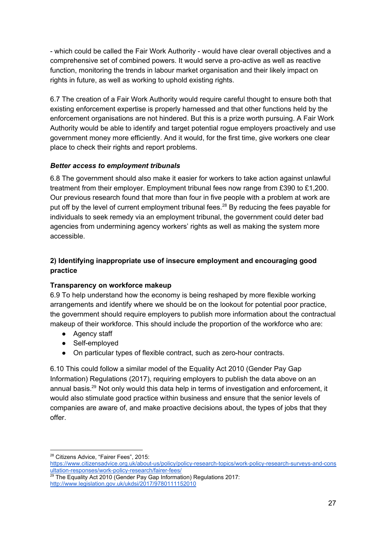- which could be called the Fair Work Authority - would have clear overall objectives and a comprehensive set of combined powers. It would serve a pro-active as well as reactive function, monitoring the trends in labour market organisation and their likely impact on rights in future, as well as working to uphold existing rights.

6.7 The creation of a Fair Work Authority would require careful thought to ensure both that existing enforcement expertise is properly harnessed and that other functions held by the enforcement organisations are not hindered. But this is a prize worth pursuing. A Fair Work Authority would be able to identify and target potential rogue employers proactively and use government money more efficiently. And it would, for the first time, give workers one clear place to check their rights and report problems.

# *Better access to employment tribunals*

6.8 The government should also make it easier for workers to take action against unlawful treatment from their employer. Employment tribunal fees now range from £390 to £1,200. Our previous research found that more than four in five people with a problem at work are put off by the level of current employment tribunal fees.<sup>28</sup> By reducing the fees payable for individuals to seek remedy via an employment tribunal, the government could deter bad agencies from undermining agency workers' rights as well as making the system more accessible.

# **2) Identifying inappropriate use of insecure employment and encouraging good practice**

# **Transparency on workforce makeup**

6.9 To help understand how the economy is being reshaped by more flexible working arrangements and identify where we should be on the lookout for potential poor practice, the government should require employers to publish more information about the contractual makeup of their workforce. This should include the proportion of the workforce who are:

- Agency staff
- Self-employed
- On particular types of flexible contract, such as zero-hour contracts.

6.10 This could follow a similar model of the Equality Act 2010 (Gender Pay Gap Information) Regulations (2017), requiring employers to publish the data above on an annual basis.<sup>29</sup> Not only would this data help in terms of investigation and enforcement, it would also stimulate good practice within business and ensure that the senior levels of companies are aware of, and make proactive decisions about, the types of jobs that they offer.

<sup>28</sup> Citizens Advice, "Fairer Fees", 2015: [https://www.citizensadvice.org.uk/about-us/policy/policy-research-topics/work-policy-research-surveys-and-cons](https://www.citizensadvice.org.uk/about-us/policy/policy-research-topics/work-policy-research-surveys-and-consultation-responses/work-policy-research/fairer-fees/) [ultation-responses/work-policy-research/fairer-fees/](https://www.citizensadvice.org.uk/about-us/policy/policy-research-topics/work-policy-research-surveys-and-consultation-responses/work-policy-research/fairer-fees/)

 $29$  The Equality Act 2010 (Gender Pay Gap Information) Regulations 2017: <http://www.legislation.gov.uk/ukdsi/2017/9780111152010>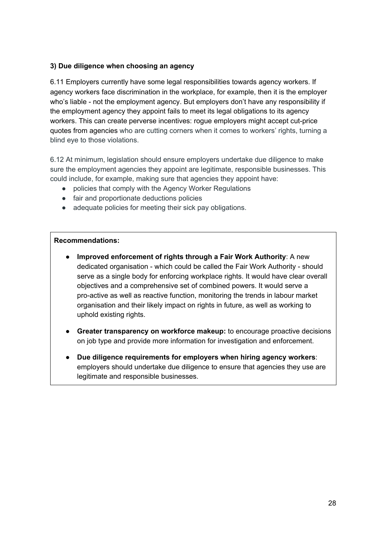# **3) Due diligence when choosing an agency**

6.11 Employers currently have some legal responsibilities towards agency workers. If agency workers face discrimination in the workplace, for example, then it is the employer who's liable - not the employment agency. But employers don't have any responsibility if the employment agency they appoint fails to meet its legal obligations to its agency workers. This can create perverse incentives: rogue employers might accept cut-price quotes from agencies who are cutting corners when it comes to workers' rights, turning a blind eye to those violations.

6.12 At minimum, legislation should ensure employers undertake due diligence to make sure the employment agencies they appoint are legitimate, responsible businesses. This could include, for example, making sure that agencies they appoint have:

- policies that comply with the Agency Worker Regulations
- fair and proportionate deductions policies
- adequate policies for meeting their sick pay obligations.

#### **Recommendations:**

- **Improved enforcement of rights through a Fair Work Authority**: A new dedicated organisation - which could be called the Fair Work Authority - should serve as a single body for enforcing workplace rights. It would have clear overall objectives and a comprehensive set of combined powers. It would serve a pro-active as well as reactive function, monitoring the trends in labour market organisation and their likely impact on rights in future, as well as working to uphold existing rights.
- **Greater transparency on workforce makeup:** to encourage proactive decisions on job type and provide more information for investigation and enforcement.
- **Due diligence requirements for employers when hiring agency workers**: employers should undertake due diligence to ensure that agencies they use are legitimate and responsible businesses.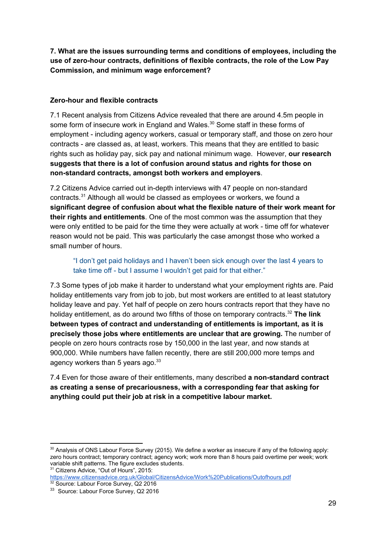**7. What are the issues surrounding terms and conditions of employees, including the use of zero-hour contracts, definitions of flexible contracts, the role of the Low Pay Commission, and minimum wage enforcement?**

# **Zero-hour and flexible contracts**

7.1 Recent analysis from Citizens Advice revealed that there are around 4.5m people in some form of insecure work in England and Wales. $30$  Some staff in these forms of employment - including agency workers, casual or temporary staff, and those on zero hour contracts - are classed as, at least, workers. This means that they are entitled to basic rights such as holiday pay, sick pay and national minimum wage. However, **our research suggests that there is a lot of confusion around status and rights for those on non-standard contracts, amongst both workers and employers**.

7.2 Citizens Advice carried out in-depth interviews with 47 people on non-standard contracts. $31$  Although all would be classed as employees or workers, we found a **significant degree of confusion about what the flexible nature of their work meant for their rights and entitlements**. One of the most common was the assumption that they were only entitled to be paid for the time they were actually at work - time off for whatever reason would not be paid. This was particularly the case amongst those who worked a small number of hours.

"I don't get paid holidays and I haven't been sick enough over the last 4 years to take time off - but I assume I wouldn't get paid for that either."

7.3 Some types of job make it harder to understand what your employment rights are. Paid holiday entitlements vary from job to job, but most workers are entitled to at least statutory holiday leave and pay. Yet half of people on zero hours contracts report that they have no holiday entitlement, as do around two fifths of those on temporary contracts.<sup>32</sup> The link **between types of contract and understanding of entitlements is important, as it is precisely those jobs where entitlements are unclear that are growing.** T he number of people on zero hours contracts rose by 150,000 in the last year, and now stands at 900,000. While numbers have fallen recently, there are still 200,000 more temps and agency workers than 5 years ago. $^{33}$ 

7.4 Even for those aware of their entitlements, many described **a non-standard contract as creating a sense of precariousness, with a corresponding fear that asking for anything could put their job at risk in a competitive labour market.**

<sup>31</sup> Citizens Advice, "Out of Hours", 2015:

 $30$  Analysis of ONS Labour Force Survey (2015). We define a worker as insecure if any of the following apply: zero hours contract; temporary contract; agency work; work more than 8 hours paid overtime per week; work variable shift patterns. The figure excludes students.

<https://www.citizensadvice.org.uk/Global/CitizensAdvice/Work%20Publications/Outofhours.pdf> <sup>32</sup> Source: Labour Force Survey, Q2 2016

<sup>&</sup>lt;sup>33</sup> Source: Labour Force Survey, Q2 2016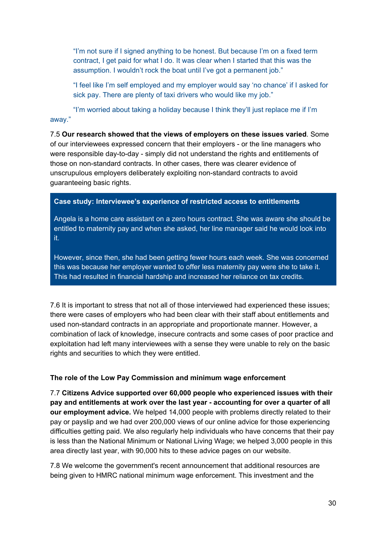"I'm not sure if I signed anything to be honest. But because I'm on a fixed term contract, I get paid for what I do. It was clear when I started that this was the assumption. I wouldn't rock the boat until I've got a permanent job."

"I feel like I'm self employed and my employer would say 'no chance' if I asked for sick pay. There are plenty of taxi drivers who would like my job."

"I'm worried about taking a holiday because I think they'll just replace me if I'm away."

7.5 **Our research showed that the views of employers on these issues varied**. Some of our interviewees expressed concern that their employers - or the line managers who were responsible day-to-day - simply did not understand the rights and entitlements of those on non-standard contracts. In other cases, there was clearer evidence of unscrupulous employers deliberately exploiting non-standard contracts to avoid guaranteeing basic rights.

#### **Case study: Interviewee's experience of restricted access to entitlements**

Angela is a home care assistant on a zero hours contract. She was aware she should be entitled to maternity pay and when she asked, her line manager said he would look into it.

However, since then, she had been getting fewer hours each week. She was concerned this was because her employer wanted to offer less maternity pay were she to take it. This had resulted in financial hardship and increased her reliance on tax credits.

7.6 It is important to stress that not all of those interviewed had experienced these issues; there were cases of employers who had been clear with their staff about entitlements and used non-standard contracts in an appropriate and proportionate manner. However, a combination of lack of knowledge, insecure contracts and some cases of poor practice and exploitation had left many interviewees with a sense they were unable to rely on the basic rights and securities to which they were entitled.

# **The role of the Low Pay Commission and minimum wage enforcement**

7.7 **Citizens Advice supported over 60,000 people who experienced issues with their pay and entitlements at work over the last year - accounting for over a quarter of all our employment advice.** We helped 14,000 people with problems directly related to their pay or payslip and we had over 200,000 views of our online advice for those experiencing difficulties getting paid. We also regularly help individuals who have concerns that their pay is less than the National Minimum or National Living Wage; we helped 3,000 people in this area directly last year, with 90,000 hits to these advice pages on our website.

7.8 We welcome the government's recent announcement that additional resources are being given to HMRC national minimum wage enforcement. This investment and the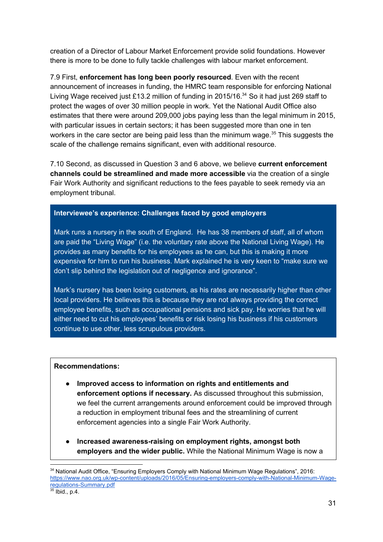creation of a Director of Labour Market Enforcement provide solid foundations. However there is more to be done to fully tackle challenges with labour market enforcement.

7.9 First, **enforcement has long been poorly resourced**. Even with the recent announcement of increases in funding, the HMRC team responsible for enforcing National Living Wage received just £13.2 million of funding in 2015/16.<sup>34</sup> So it had just 269 staff to protect the wages of over 30 million people in work. Yet the National Audit Office also estimates that there were around 209,000 jobs paying less than the legal minimum in 2015, with particular issues in certain sectors; it has been suggested more than one in ten workers in the care sector are being paid less than the minimum wage. $35$  This suggests the scale of the challenge remains significant, even with additional resource.

7.10 Second, as discussed in Question 3 and 6 above, we believe **current enforcement channels could be streamlined and made more accessible** via the creation of a single Fair Work Authority and significant reductions to the fees payable to seek remedy via an employment tribunal.

#### **Interviewee's experience: Challenges faced by good employers**

Mark runs a nursery in the south of England. He has 38 members of staff, all of whom are paid the "Living Wage" (i.e. the voluntary rate above the National Living Wage). He provides as many benefits for his employees as he can, but this is making it more expensive for him to run his business. Mark explained he is very keen to "make sure we don't slip behind the legislation out of negligence and ignorance".

Mark's nursery has been losing customers, as his rates are necessarily higher than other local providers. He believes this is because they are not always providing the correct employee benefits, such as occupational pensions and sick pay. He worries that he will either need to cut his employees' benefits or risk losing his business if his customers continue to use other, less scrupulous providers.

#### **Recommendations:**

- **● Improved access to information on rights and entitlements and enforcement options if necessary.** As discussed throughout this submission, we feel the current arrangements around enforcement could be improved through a reduction in employment tribunal fees and the streamlining of current enforcement agencies into a single Fair Work Authority.
- **● Increased awareness-raising on employment rights, amongst both employers and the wider public.** While the National Minimum Wage is now a

<sup>34</sup> National Audit Office, "Ensuring Employers Comply with National Minimum Wage Regulations", 2016: [https://www.nao.org.uk/wp-content/uploads/2016/05/Ensuring-employers-comply-with-National-Minimum-Wage](https://www.nao.org.uk/wp-content/uploads/2016/05/Ensuring-employers-comply-with-National-Minimum-Wage-regulations-Summary.pdf)[regulations-Summary.pdf](https://www.nao.org.uk/wp-content/uploads/2016/05/Ensuring-employers-comply-with-National-Minimum-Wage-regulations-Summary.pdf)

 $35$  Ibid., p.4.